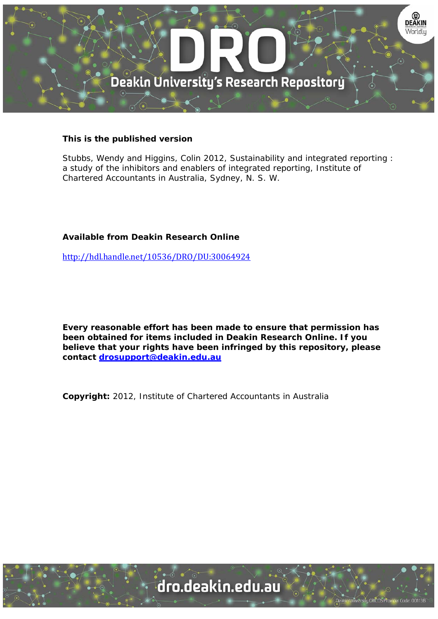

### **This is the published version**

Stubbs, Wendy and Higgins, Colin 2012, Sustainability and integrated reporting : a study of the inhibitors and enablers of integrated reporting, Institute of Chartered Accountants in Australia, Sydney, N. S. W.

# **Available from Deakin Research Online**

http://hdl.handle.net/10536/DRO/DU:30064924

**Every reasonable effort has been made to ensure that permission has been obtained for items included in Deakin Research Online. If you believe that your rights have been infringed by this repository, please contact drosupport@deakin.edu.au** 

**Copyright:** 2012, Institute of Chartered Accountants in Australia

University CRICOS Provider Code: 00113E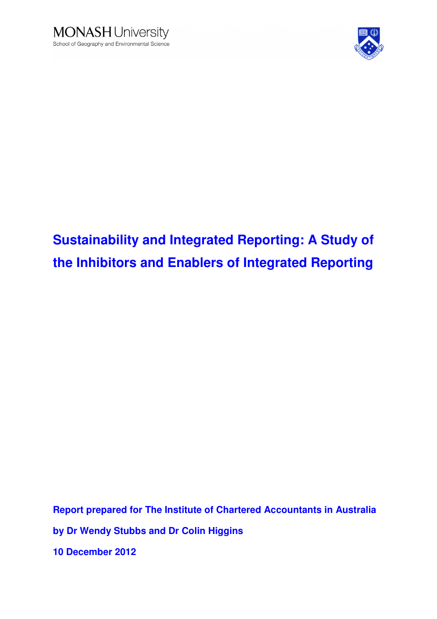



# **Sustainability and Integrated Reporting: A Study of the Inhibitors and Enablers of Integrated Reporting**

**Report prepared for The Institute of Chartered Accountants in Australia by Dr Wendy Stubbs and Dr Colin Higgins 10 December 2012**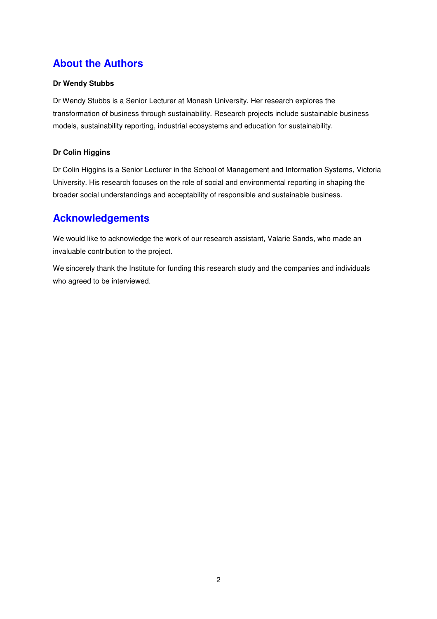# **About the Authors**

### **Dr Wendy Stubbs**

Dr Wendy Stubbs is a Senior Lecturer at Monash University. Her research explores the transformation of business through sustainability. Research projects include sustainable business models, sustainability reporting, industrial ecosystems and education for sustainability.

### **Dr Colin Higgins**

Dr Colin Higgins is a Senior Lecturer in the School of Management and Information Systems, Victoria University. His research focuses on the role of social and environmental reporting in shaping the broader social understandings and acceptability of responsible and sustainable business.

# **Acknowledgements**

We would like to acknowledge the work of our research assistant, Valarie Sands, who made an invaluable contribution to the project.

We sincerely thank the Institute for funding this research study and the companies and individuals who agreed to be interviewed.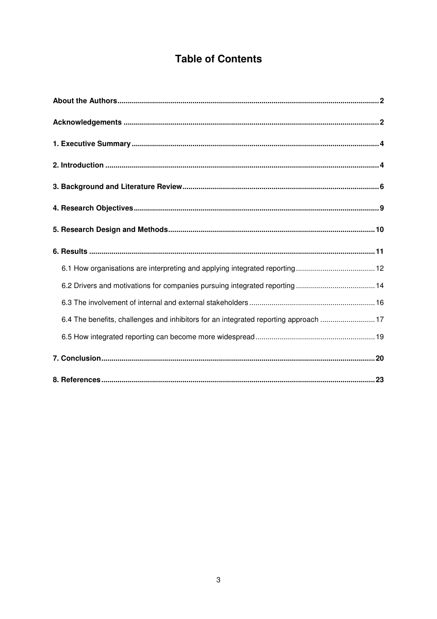# **Table of Contents**

| 6.4 The benefits, challenges and inhibitors for an integrated reporting approach 17 |  |
|-------------------------------------------------------------------------------------|--|
|                                                                                     |  |
|                                                                                     |  |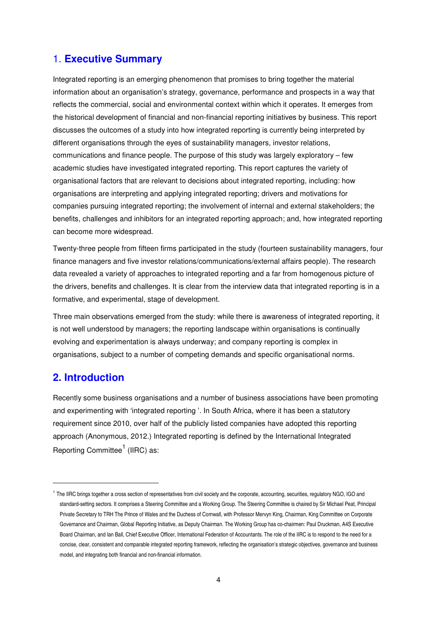# 1. **Executive Summary**

Integrated reporting is an emerging phenomenon that promises to bring together the material information about an organisation's strategy, governance, performance and prospects in a way that reflects the commercial, social and environmental context within which it operates. It emerges from the historical development of financial and non-financial reporting initiatives by business. This report discusses the outcomes of a study into how integrated reporting is currently being interpreted by different organisations through the eyes of sustainability managers, investor relations, communications and finance people. The purpose of this study was largely exploratory – few academic studies have investigated integrated reporting. This report captures the variety of organisational factors that are relevant to decisions about integrated reporting, including: how organisations are interpreting and applying integrated reporting; drivers and motivations for companies pursuing integrated reporting; the involvement of internal and external stakeholders; the benefits, challenges and inhibitors for an integrated reporting approach; and, how integrated reporting can become more widespread.

Twenty-three people from fifteen firms participated in the study (fourteen sustainability managers, four finance managers and five investor relations/communications/external affairs people). The research data revealed a variety of approaches to integrated reporting and a far from homogenous picture of the drivers, benefits and challenges. It is clear from the interview data that integrated reporting is in a formative, and experimental, stage of development.

Three main observations emerged from the study: while there is awareness of integrated reporting, it is not well understood by managers; the reporting landscape within organisations is continually evolving and experimentation is always underway; and company reporting is complex in organisations, subject to a number of competing demands and specific organisational norms.

# **2. Introduction**

l

Recently some business organisations and a number of business associations have been promoting and experimenting with 'integrated reporting '. In South Africa, where it has been a statutory requirement since 2010, over half of the publicly listed companies have adopted this reporting approach (Anonymous, 2012.) Integrated reporting is defined by the International Integrated Reporting Committee<sup>1</sup> (IIRC) as:

<sup>&</sup>lt;sup>1</sup> The IIRC brings together a cross section of representatives from civil society and the corporate, accounting, securities, regulatory NGO, IGO and standard-setting sectors. It comprises a Steering Committee and a Working Group. The Steering Committee is chaired by Sir Michael Peat, Principal Private Secretary to TRH The Prince of Wales and the Duchess of Cornwall, with Professor Mervyn King, Chairman, King Committee on Corporate Governance and Chairman, Global Reporting Initiative, as Deputy Chairman. The Working Group has co-chairmen: Paul Druckman, A4S Executive Board Chairman, and Ian Ball, Chief Executive Officer, International Federation of Accountants. The role of the IIRC is to respond to the need for a concise, clear, consistent and comparable integrated reporting framework, reflecting the organisation's strategic objectives, governance and business model, and integrating both financial and non-financial information.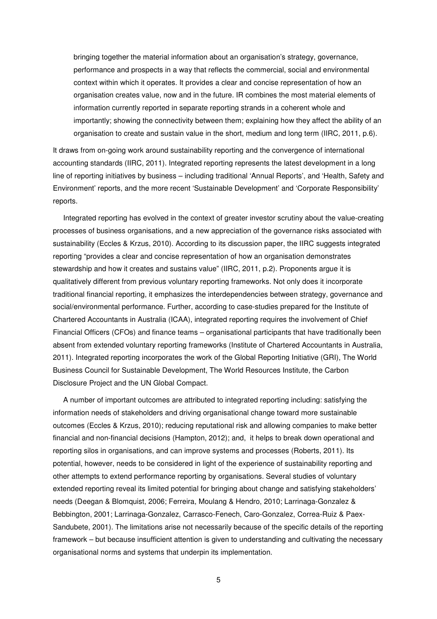bringing together the material information about an organisation's strategy, governance, performance and prospects in a way that reflects the commercial, social and environmental context within which it operates. It provides a clear and concise representation of how an organisation creates value, now and in the future. IR combines the most material elements of information currently reported in separate reporting strands in a coherent whole and importantly; showing the connectivity between them; explaining how they affect the ability of an organisation to create and sustain value in the short, medium and long term (IIRC, 2011, p.6).

It draws from on-going work around sustainability reporting and the convergence of international accounting standards (IIRC, 2011). Integrated reporting represents the latest development in a long line of reporting initiatives by business – including traditional 'Annual Reports', and 'Health, Safety and Environment' reports, and the more recent 'Sustainable Development' and 'Corporate Responsibility' reports.

Integrated reporting has evolved in the context of greater investor scrutiny about the value-creating processes of business organisations, and a new appreciation of the governance risks associated with sustainability (Eccles & Krzus, 2010). According to its discussion paper, the IIRC suggests integrated reporting "provides a clear and concise representation of how an organisation demonstrates stewardship and how it creates and sustains value" (IIRC, 2011, p.2). Proponents argue it is qualitatively different from previous voluntary reporting frameworks. Not only does it incorporate traditional financial reporting, it emphasizes the interdependencies between strategy, governance and social/environmental performance. Further, according to case-studies prepared for the Institute of Chartered Accountants in Australia (ICAA), integrated reporting requires the involvement of Chief Financial Officers (CFOs) and finance teams – organisational participants that have traditionally been absent from extended voluntary reporting frameworks (Institute of Chartered Accountants in Australia, 2011). Integrated reporting incorporates the work of the Global Reporting Initiative (GRI), The World Business Council for Sustainable Development, The World Resources Institute, the Carbon Disclosure Project and the UN Global Compact.

A number of important outcomes are attributed to integrated reporting including: satisfying the information needs of stakeholders and driving organisational change toward more sustainable outcomes (Eccles & Krzus, 2010); reducing reputational risk and allowing companies to make better financial and non-financial decisions (Hampton, 2012); and, it helps to break down operational and reporting silos in organisations, and can improve systems and processes (Roberts, 2011). Its potential, however, needs to be considered in light of the experience of sustainability reporting and other attempts to extend performance reporting by organisations. Several studies of voluntary extended reporting reveal its limited potential for bringing about change and satisfying stakeholders' needs (Deegan & Blomquist, 2006; Ferreira, Moulang & Hendro, 2010; Larrinaga-Gonzalez & Bebbington, 2001; Larrinaga-Gonzalez, Carrasco-Fenech, Caro-Gonzalez, Correa-Ruiz & Paex-Sandubete, 2001). The limitations arise not necessarily because of the specific details of the reporting framework – but because insufficient attention is given to understanding and cultivating the necessary organisational norms and systems that underpin its implementation.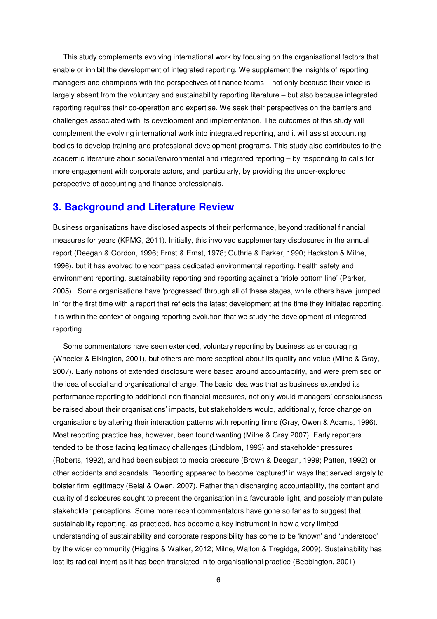This study complements evolving international work by focusing on the organisational factors that enable or inhibit the development of integrated reporting. We supplement the insights of reporting managers and champions with the perspectives of finance teams – not only because their voice is largely absent from the voluntary and sustainability reporting literature – but also because integrated reporting requires their co-operation and expertise. We seek their perspectives on the barriers and challenges associated with its development and implementation. The outcomes of this study will complement the evolving international work into integrated reporting, and it will assist accounting bodies to develop training and professional development programs. This study also contributes to the academic literature about social/environmental and integrated reporting – by responding to calls for more engagement with corporate actors, and, particularly, by providing the under-explored perspective of accounting and finance professionals.

# **3. Background and Literature Review**

Business organisations have disclosed aspects of their performance, beyond traditional financial measures for years (KPMG, 2011). Initially, this involved supplementary disclosures in the annual report (Deegan & Gordon, 1996; Ernst & Ernst, 1978; Guthrie & Parker, 1990; Hackston & Milne, 1996), but it has evolved to encompass dedicated environmental reporting, health safety and environment reporting, sustainability reporting and reporting against a 'triple bottom line' (Parker, 2005). Some organisations have 'progressed' through all of these stages, while others have 'jumped in' for the first time with a report that reflects the latest development at the time they initiated reporting. It is within the context of ongoing reporting evolution that we study the development of integrated reporting.

Some commentators have seen extended, voluntary reporting by business as encouraging (Wheeler & Elkington, 2001), but others are more sceptical about its quality and value (Milne & Gray, 2007). Early notions of extended disclosure were based around accountability, and were premised on the idea of social and organisational change. The basic idea was that as business extended its performance reporting to additional non-financial measures, not only would managers' consciousness be raised about their organisations' impacts, but stakeholders would, additionally, force change on organisations by altering their interaction patterns with reporting firms (Gray, Owen & Adams, 1996). Most reporting practice has, however, been found wanting (Milne & Gray 2007). Early reporters tended to be those facing legitimacy challenges (Lindblom, 1993) and stakeholder pressures (Roberts, 1992), and had been subject to media pressure (Brown & Deegan, 1999; Patten, 1992) or other accidents and scandals. Reporting appeared to become 'captured' in ways that served largely to bolster firm legitimacy (Belal & Owen, 2007). Rather than discharging accountability, the content and quality of disclosures sought to present the organisation in a favourable light, and possibly manipulate stakeholder perceptions. Some more recent commentators have gone so far as to suggest that sustainability reporting, as practiced, has become a key instrument in how a very limited understanding of sustainability and corporate responsibility has come to be 'known' and 'understood' by the wider community (Higgins & Walker, 2012; Milne, Walton & Tregidga, 2009). Sustainability has lost its radical intent as it has been translated in to organisational practice (Bebbington, 2001) –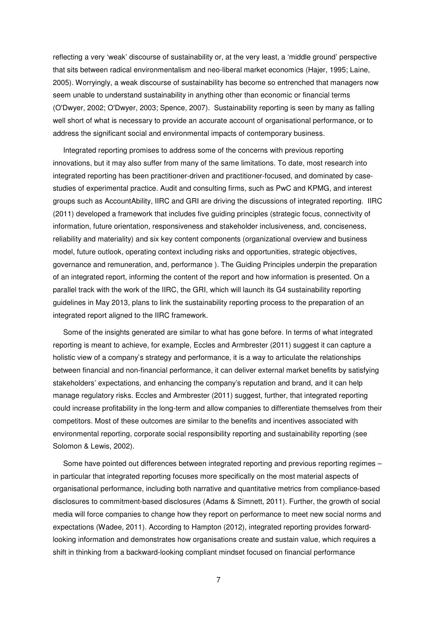reflecting a very 'weak' discourse of sustainability or, at the very least, a 'middle ground' perspective that sits between radical environmentalism and neo-liberal market economics (Hajer, 1995; Laine, 2005). Worryingly, a weak discourse of sustainability has become so entrenched that managers now seem unable to understand sustainability in anything other than economic or financial terms (O'Dwyer, 2002; O'Dwyer, 2003; Spence, 2007). Sustainability reporting is seen by many as falling well short of what is necessary to provide an accurate account of organisational performance, or to address the significant social and environmental impacts of contemporary business.

Integrated reporting promises to address some of the concerns with previous reporting innovations, but it may also suffer from many of the same limitations. To date, most research into integrated reporting has been practitioner-driven and practitioner-focused, and dominated by casestudies of experimental practice. Audit and consulting firms, such as PwC and KPMG, and interest groups such as AccountAbility, IIRC and GRI are driving the discussions of integrated reporting. IIRC (2011) developed a framework that includes five guiding principles (strategic focus, connectivity of information, future orientation, responsiveness and stakeholder inclusiveness, and, conciseness, reliability and materiality) and six key content components (organizational overview and business model, future outlook, operating context including risks and opportunities, strategic objectives, governance and remuneration, and, performance ). The Guiding Principles underpin the preparation of an integrated report, informing the content of the report and how information is presented. On a parallel track with the work of the IIRC, the GRI, which will launch its G4 sustainability reporting guidelines in May 2013, plans to link the sustainability reporting process to the preparation of an integrated report aligned to the IIRC framework.

Some of the insights generated are similar to what has gone before. In terms of what integrated reporting is meant to achieve, for example, Eccles and Armbrester (2011) suggest it can capture a holistic view of a company's strategy and performance, it is a way to articulate the relationships between financial and non-financial performance, it can deliver external market benefits by satisfying stakeholders' expectations, and enhancing the company's reputation and brand, and it can help manage regulatory risks. Eccles and Armbrester (2011) suggest, further, that integrated reporting could increase profitability in the long-term and allow companies to differentiate themselves from their competitors. Most of these outcomes are similar to the benefits and incentives associated with environmental reporting, corporate social responsibility reporting and sustainability reporting (see Solomon & Lewis, 2002).

Some have pointed out differences between integrated reporting and previous reporting regimes – in particular that integrated reporting focuses more specifically on the most material aspects of organisational performance, including both narrative and quantitative metrics from compliance-based disclosures to commitment-based disclosures (Adams & Simnett, 2011). Further, the growth of social media will force companies to change how they report on performance to meet new social norms and expectations (Wadee, 2011). According to Hampton (2012), integrated reporting provides forwardlooking information and demonstrates how organisations create and sustain value, which requires a shift in thinking from a backward-looking compliant mindset focused on financial performance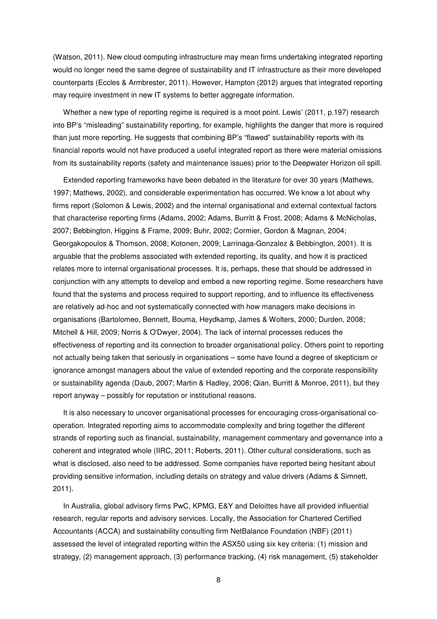(Watson, 2011). New cloud computing infrastructure may mean firms undertaking integrated reporting would no longer need the same degree of sustainability and IT infrastructure as their more developed counterparts (Eccles & Armbrester, 2011). However, Hampton (2012) argues that integrated reporting may require investment in new IT systems to better aggregate information.

Whether a new type of reporting regime is required is a moot point. Lewis' (2011, p.197) research into BP's "misleading" sustainability reporting, for example, highlights the danger that more is required than just more reporting. He suggests that combining BP's "flawed" sustainability reports with its financial reports would not have produced a useful integrated report as there were material omissions from its sustainability reports (safety and maintenance issues) prior to the Deepwater Horizon oil spill.

Extended reporting frameworks have been debated in the literature for over 30 years (Mathews, 1997; Mathews, 2002), and considerable experimentation has occurred. We know a lot about why firms report (Solomon & Lewis, 2002) and the internal organisational and external contextual factors that characterise reporting firms (Adams, 2002; Adams, Burritt & Frost, 2008; Adams & McNicholas, 2007; Bebbington, Higgins & Frame, 2009; Buhr, 2002; Cormier, Gordon & Magnan, 2004; Georgakopoulos & Thomson, 2008; Kotonen, 2009; Larrinaga-Gonzalez & Bebbington, 2001). It is arguable that the problems associated with extended reporting, its quality, and how it is practiced relates more to internal organisational processes. It is, perhaps, these that should be addressed in conjunction with any attempts to develop and embed a new reporting regime. Some researchers have found that the systems and process required to support reporting, and to influence its effectiveness are relatively ad-hoc and not systematically connected with how managers make decisions in organisations (Bartolomeo, Bennett, Bouma, Heydkamp, James & Wolters, 2000; Durden, 2008; Mitchell & Hill, 2009; Norris & O'Dwyer, 2004). The lack of internal processes reduces the effectiveness of reporting and its connection to broader organisational policy. Others point to reporting not actually being taken that seriously in organisations – some have found a degree of skepticism or ignorance amongst managers about the value of extended reporting and the corporate responsibility or sustainability agenda (Daub, 2007; Martin & Hadley, 2008; Qian, Burritt & Monroe, 2011), but they report anyway – possibly for reputation or institutional reasons.

It is also necessary to uncover organisational processes for encouraging cross-organisational cooperation. Integrated reporting aims to accommodate complexity and bring together the different strands of reporting such as financial, sustainability, management commentary and governance into a coherent and integrated whole (IIRC, 2011; Roberts, 2011). Other cultural considerations, such as what is disclosed, also need to be addressed. Some companies have reported being hesitant about providing sensitive information, including details on strategy and value drivers (Adams & Simnett, 2011).

In Australia, global advisory firms PwC, KPMG, E&Y and Deloittes have all provided influential research, regular reports and advisory services. Locally, the Association for Chartered Certified Accountants (ACCA) and sustainability consulting firm NetBalance Foundation (NBF) (2011) assessed the level of integrated reporting within the ASX50 using six key criteria: (1) mission and strategy, (2) management approach, (3) performance tracking, (4) risk management, (5) stakeholder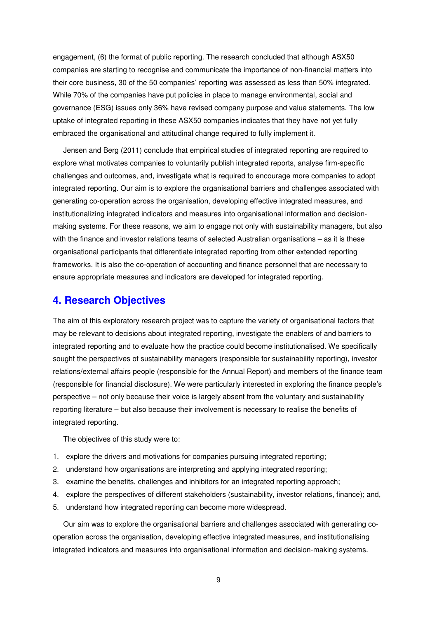engagement, (6) the format of public reporting. The research concluded that although ASX50 companies are starting to recognise and communicate the importance of non-financial matters into their core business, 30 of the 50 companies' reporting was assessed as less than 50% integrated. While 70% of the companies have put policies in place to manage environmental, social and governance (ESG) issues only 36% have revised company purpose and value statements. The low uptake of integrated reporting in these ASX50 companies indicates that they have not yet fully embraced the organisational and attitudinal change required to fully implement it.

Jensen and Berg (2011) conclude that empirical studies of integrated reporting are required to explore what motivates companies to voluntarily publish integrated reports, analyse firm-specific challenges and outcomes, and, investigate what is required to encourage more companies to adopt integrated reporting. Our aim is to explore the organisational barriers and challenges associated with generating co-operation across the organisation, developing effective integrated measures, and institutionalizing integrated indicators and measures into organisational information and decisionmaking systems. For these reasons, we aim to engage not only with sustainability managers, but also with the finance and investor relations teams of selected Australian organisations – as it is these organisational participants that differentiate integrated reporting from other extended reporting frameworks. It is also the co-operation of accounting and finance personnel that are necessary to ensure appropriate measures and indicators are developed for integrated reporting.

# **4. Research Objectives**

The aim of this exploratory research project was to capture the variety of organisational factors that may be relevant to decisions about integrated reporting, investigate the enablers of and barriers to integrated reporting and to evaluate how the practice could become institutionalised. We specifically sought the perspectives of sustainability managers (responsible for sustainability reporting), investor relations/external affairs people (responsible for the Annual Report) and members of the finance team (responsible for financial disclosure). We were particularly interested in exploring the finance people's perspective – not only because their voice is largely absent from the voluntary and sustainability reporting literature – but also because their involvement is necessary to realise the benefits of integrated reporting.

The objectives of this study were to:

- 1. explore the drivers and motivations for companies pursuing integrated reporting;
- 2. understand how organisations are interpreting and applying integrated reporting;
- 3. examine the benefits, challenges and inhibitors for an integrated reporting approach;
- 4. explore the perspectives of different stakeholders (sustainability, investor relations, finance); and,
- 5. understand how integrated reporting can become more widespread.

Our aim was to explore the organisational barriers and challenges associated with generating cooperation across the organisation, developing effective integrated measures, and institutionalising integrated indicators and measures into organisational information and decision-making systems.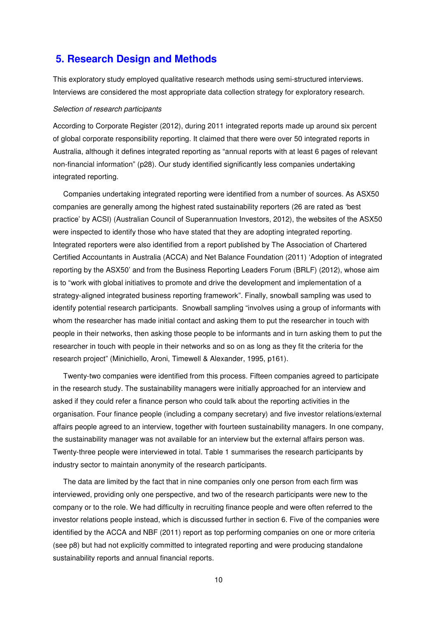# **5. Research Design and Methods**

This exploratory study employed qualitative research methods using semi-structured interviews. Interviews are considered the most appropriate data collection strategy for exploratory research.

#### Selection of research participants

According to Corporate Register (2012), during 2011 integrated reports made up around six percent of global corporate responsibility reporting. It claimed that there were over 50 integrated reports in Australia, although it defines integrated reporting as "annual reports with at least 6 pages of relevant non-financial information" (p28). Our study identified significantly less companies undertaking integrated reporting.

Companies undertaking integrated reporting were identified from a number of sources. As ASX50 companies are generally among the highest rated sustainability reporters (26 are rated as 'best practice' by ACSI) (Australian Council of Superannuation Investors, 2012), the websites of the ASX50 were inspected to identify those who have stated that they are adopting integrated reporting. Integrated reporters were also identified from a report published by The Association of Chartered Certified Accountants in Australia (ACCA) and Net Balance Foundation (2011) 'Adoption of integrated reporting by the ASX50' and from the Business Reporting Leaders Forum (BRLF) (2012), whose aim is to "work with global initiatives to promote and drive the development and implementation of a strategy-aligned integrated business reporting framework". Finally, snowball sampling was used to identify potential research participants. Snowball sampling "involves using a group of informants with whom the researcher has made initial contact and asking them to put the researcher in touch with people in their networks, then asking those people to be informants and in turn asking them to put the researcher in touch with people in their networks and so on as long as they fit the criteria for the research project" (Minichiello, Aroni, Timewell & Alexander, 1995, p161).

Twenty-two companies were identified from this process. Fifteen companies agreed to participate in the research study. The sustainability managers were initially approached for an interview and asked if they could refer a finance person who could talk about the reporting activities in the organisation. Four finance people (including a company secretary) and five investor relations/external affairs people agreed to an interview, together with fourteen sustainability managers. In one company, the sustainability manager was not available for an interview but the external affairs person was. Twenty-three people were interviewed in total. Table 1 summarises the research participants by industry sector to maintain anonymity of the research participants.

The data are limited by the fact that in nine companies only one person from each firm was interviewed, providing only one perspective, and two of the research participants were new to the company or to the role. We had difficulty in recruiting finance people and were often referred to the investor relations people instead, which is discussed further in section 6. Five of the companies were identified by the ACCA and NBF (2011) report as top performing companies on one or more criteria (see p8) but had not explicitly committed to integrated reporting and were producing standalone sustainability reports and annual financial reports.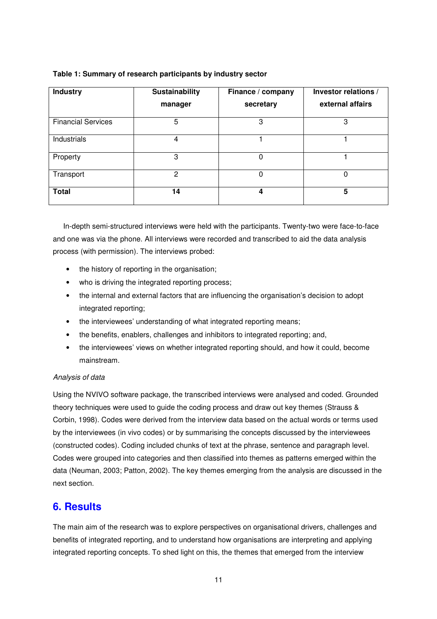#### **Table 1: Summary of research participants by industry sector**

| <b>Industry</b>           | Sustainability | Finance / company | Investor relations / |
|---------------------------|----------------|-------------------|----------------------|
|                           | manager        | secretary         | external affairs     |
| <b>Financial Services</b> | 5              | 3                 | 3                    |
| Industrials               | 4              |                   |                      |
| Property                  | 3              | 0                 |                      |
| Transport                 | $\mathbf{2}$   | 0                 |                      |
| <b>Total</b>              | 14             | 4                 | 5                    |

In-depth semi-structured interviews were held with the participants. Twenty-two were face-to-face and one was via the phone. All interviews were recorded and transcribed to aid the data analysis process (with permission). The interviews probed:

- the history of reporting in the organisation;
- who is driving the integrated reporting process;
- the internal and external factors that are influencing the organisation's decision to adopt integrated reporting;
- the interviewees' understanding of what integrated reporting means;
- the benefits, enablers, challenges and inhibitors to integrated reporting; and,
- the interviewees' views on whether integrated reporting should, and how it could, become mainstream.

### Analysis of data

Using the NVIVO software package, the transcribed interviews were analysed and coded. Grounded theory techniques were used to guide the coding process and draw out key themes (Strauss & Corbin, 1998). Codes were derived from the interview data based on the actual words or terms used by the interviewees (in vivo codes) or by summarising the concepts discussed by the interviewees (constructed codes). Coding included chunks of text at the phrase, sentence and paragraph level. Codes were grouped into categories and then classified into themes as patterns emerged within the data (Neuman, 2003; Patton, 2002). The key themes emerging from the analysis are discussed in the next section.

# **6. Results**

The main aim of the research was to explore perspectives on organisational drivers, challenges and benefits of integrated reporting, and to understand how organisations are interpreting and applying integrated reporting concepts. To shed light on this, the themes that emerged from the interview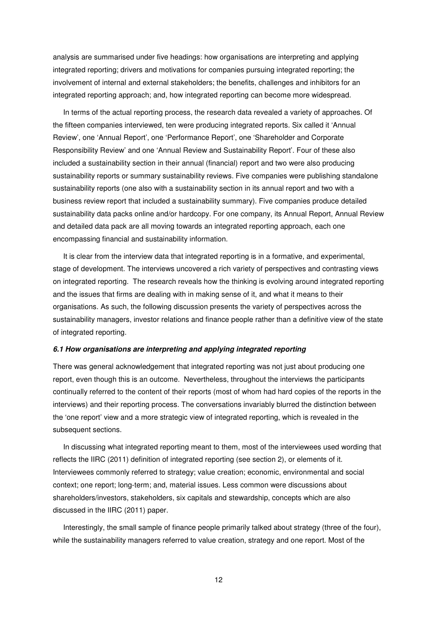analysis are summarised under five headings: how organisations are interpreting and applying integrated reporting; drivers and motivations for companies pursuing integrated reporting; the involvement of internal and external stakeholders; the benefits, challenges and inhibitors for an integrated reporting approach; and, how integrated reporting can become more widespread.

In terms of the actual reporting process, the research data revealed a variety of approaches. Of the fifteen companies interviewed, ten were producing integrated reports. Six called it 'Annual Review', one 'Annual Report', one 'Performance Report', one 'Shareholder and Corporate Responsibility Review' and one 'Annual Review and Sustainability Report'. Four of these also included a sustainability section in their annual (financial) report and two were also producing sustainability reports or summary sustainability reviews. Five companies were publishing standalone sustainability reports (one also with a sustainability section in its annual report and two with a business review report that included a sustainability summary). Five companies produce detailed sustainability data packs online and/or hardcopy. For one company, its Annual Report, Annual Review and detailed data pack are all moving towards an integrated reporting approach, each one encompassing financial and sustainability information.

It is clear from the interview data that integrated reporting is in a formative, and experimental, stage of development. The interviews uncovered a rich variety of perspectives and contrasting views on integrated reporting. The research reveals how the thinking is evolving around integrated reporting and the issues that firms are dealing with in making sense of it, and what it means to their organisations. As such, the following discussion presents the variety of perspectives across the sustainability managers, investor relations and finance people rather than a definitive view of the state of integrated reporting.

#### **6.1 How organisations are interpreting and applying integrated reporting**

There was general acknowledgement that integrated reporting was not just about producing one report, even though this is an outcome. Nevertheless, throughout the interviews the participants continually referred to the content of their reports (most of whom had hard copies of the reports in the interviews) and their reporting process. The conversations invariably blurred the distinction between the 'one report' view and a more strategic view of integrated reporting, which is revealed in the subsequent sections.

In discussing what integrated reporting meant to them, most of the interviewees used wording that reflects the IIRC (2011) definition of integrated reporting (see section 2), or elements of it. Interviewees commonly referred to strategy; value creation; economic, environmental and social context; one report; long-term; and, material issues. Less common were discussions about shareholders/investors, stakeholders, six capitals and stewardship, concepts which are also discussed in the IIRC (2011) paper.

Interestingly, the small sample of finance people primarily talked about strategy (three of the four), while the sustainability managers referred to value creation, strategy and one report. Most of the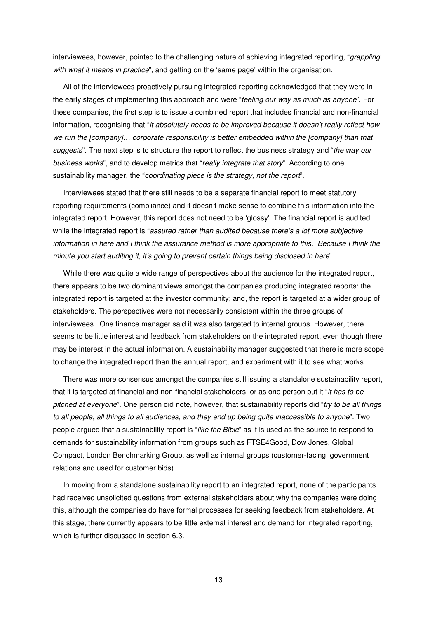interviewees, however, pointed to the challenging nature of achieving integrated reporting, "grappling with what it means in practice", and getting on the 'same page' within the organisation.

All of the interviewees proactively pursuing integrated reporting acknowledged that they were in the early stages of implementing this approach and were "feeling our way as much as anyone". For these companies, the first step is to issue a combined report that includes financial and non-financial information, recognising that "it absolutely needs to be improved because it doesn't really reflect how we run the [company]... corporate responsibility is better embedded within the [company] than that suggests". The next step is to structure the report to reflect the business strategy and "the way our business works", and to develop metrics that "really integrate that story". According to one sustainability manager, the "coordinating piece is the strategy, not the report".

Interviewees stated that there still needs to be a separate financial report to meet statutory reporting requirements (compliance) and it doesn't make sense to combine this information into the integrated report. However, this report does not need to be 'glossy'. The financial report is audited, while the integrated report is "assured rather than audited because there's a lot more subjective information in here and I think the assurance method is more appropriate to this. Because I think the minute you start auditing it, it's going to prevent certain things being disclosed in here".

While there was quite a wide range of perspectives about the audience for the integrated report, there appears to be two dominant views amongst the companies producing integrated reports: the integrated report is targeted at the investor community; and, the report is targeted at a wider group of stakeholders. The perspectives were not necessarily consistent within the three groups of interviewees. One finance manager said it was also targeted to internal groups. However, there seems to be little interest and feedback from stakeholders on the integrated report, even though there may be interest in the actual information. A sustainability manager suggested that there is more scope to change the integrated report than the annual report, and experiment with it to see what works.

There was more consensus amongst the companies still issuing a standalone sustainability report, that it is targeted at financial and non-financial stakeholders, or as one person put it "it has to be pitched at everyone". One person did note, however, that sustainability reports did "try to be all things" to all people, all things to all audiences, and they end up being quite inaccessible to anyone". Two people argued that a sustainability report is "like the Bible" as it is used as the source to respond to demands for sustainability information from groups such as FTSE4Good, Dow Jones, Global Compact, London Benchmarking Group, as well as internal groups (customer-facing, government relations and used for customer bids).

In moving from a standalone sustainability report to an integrated report, none of the participants had received unsolicited questions from external stakeholders about why the companies were doing this, although the companies do have formal processes for seeking feedback from stakeholders. At this stage, there currently appears to be little external interest and demand for integrated reporting, which is further discussed in section 6.3.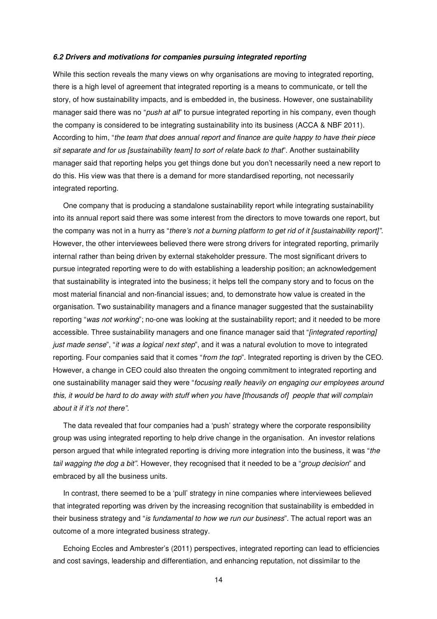#### **6.2 Drivers and motivations for companies pursuing integrated reporting**

While this section reveals the many views on why organisations are moving to integrated reporting. there is a high level of agreement that integrated reporting is a means to communicate, or tell the story, of how sustainability impacts, and is embedded in, the business. However, one sustainability manager said there was no "push at all" to pursue integrated reporting in his company, even though the company is considered to be integrating sustainability into its business (ACCA & NBF 2011). According to him, "the team that does annual report and finance are quite happy to have their piece sit separate and for us [sustainability team] to sort of relate back to that". Another sustainability manager said that reporting helps you get things done but you don't necessarily need a new report to do this. His view was that there is a demand for more standardised reporting, not necessarily integrated reporting.

One company that is producing a standalone sustainability report while integrating sustainability into its annual report said there was some interest from the directors to move towards one report, but the company was not in a hurry as "there's not a burning platform to get rid of it [sustainability report]". However, the other interviewees believed there were strong drivers for integrated reporting, primarily internal rather than being driven by external stakeholder pressure. The most significant drivers to pursue integrated reporting were to do with establishing a leadership position; an acknowledgement that sustainability is integrated into the business; it helps tell the company story and to focus on the most material financial and non-financial issues; and, to demonstrate how value is created in the organisation. Two sustainability managers and a finance manager suggested that the sustainability reporting "was not working"; no-one was looking at the sustainability report; and it needed to be more accessible. Three sustainability managers and one finance manager said that "*[integrated reporting]* just made sense", "it was a logical next step", and it was a natural evolution to move to integrated reporting. Four companies said that it comes "from the top". Integrated reporting is driven by the CEO. However, a change in CEO could also threaten the ongoing commitment to integrated reporting and one sustainability manager said they were "focusing really heavily on engaging our employees around this, it would be hard to do away with stuff when you have [thousands of] people that will complain about it if it's not there".

The data revealed that four companies had a 'push' strategy where the corporate responsibility group was using integrated reporting to help drive change in the organisation. An investor relations person argued that while integrated reporting is driving more integration into the business, it was "the tail wagging the dog a bit". However, they recognised that it needed to be a "group decision" and embraced by all the business units.

In contrast, there seemed to be a 'pull' strategy in nine companies where interviewees believed that integrated reporting was driven by the increasing recognition that sustainability is embedded in their business strategy and "is fundamental to how we run our business". The actual report was an outcome of a more integrated business strategy.

Echoing Eccles and Ambrester's (2011) perspectives, integrated reporting can lead to efficiencies and cost savings, leadership and differentiation, and enhancing reputation, not dissimilar to the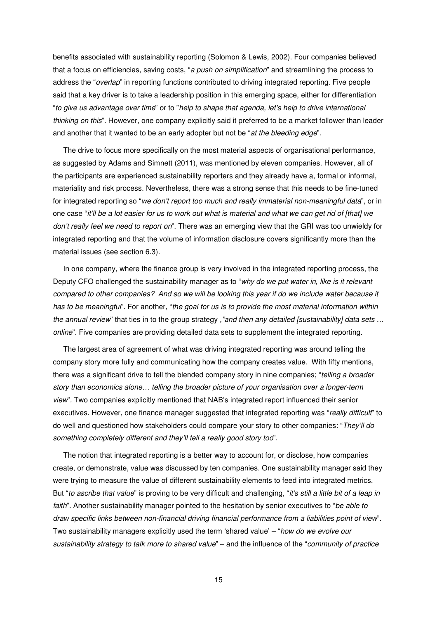benefits associated with sustainability reporting (Solomon & Lewis, 2002). Four companies believed that a focus on efficiencies, saving costs, "a push on simplification" and streamlining the process to address the "*overlap*" in reporting functions contributed to driving integrated reporting. Five people said that a key driver is to take a leadership position in this emerging space, either for differentiation "to give us advantage over time" or to "help to shape that agenda, let's help to drive international thinking on this". However, one company explicitly said it preferred to be a market follower than leader and another that it wanted to be an early adopter but not be "at the bleeding edge".

The drive to focus more specifically on the most material aspects of organisational performance, as suggested by Adams and Simnett (2011), was mentioned by eleven companies. However, all of the participants are experienced sustainability reporters and they already have a, formal or informal, materiality and risk process. Nevertheless, there was a strong sense that this needs to be fine-tuned for integrated reporting so "we don't report too much and really immaterial non-meaningful data", or in one case "it'll be a lot easier for us to work out what is material and what we can get rid of [that] we don't really feel we need to report on". There was an emerging view that the GRI was too unwieldy for integrated reporting and that the volume of information disclosure covers significantly more than the material issues (see section 6.3).

In one company, where the finance group is very involved in the integrated reporting process, the Deputy CFO challenged the sustainability manager as to "why do we put water in, like is it relevant compared to other companies? And so we will be looking this year if do we include water because it has to be meaningful". For another, "the goal for us is to provide the most material information within the annual review" that ties in to the group strategy ,"and then any detailed [sustainability] data sets ... online". Five companies are providing detailed data sets to supplement the integrated reporting.

The largest area of agreement of what was driving integrated reporting was around telling the company story more fully and communicating how the company creates value. With fifty mentions, there was a significant drive to tell the blended company story in nine companies; "telling a broader story than economics alone… telling the broader picture of your organisation over a longer-term view". Two companies explicitly mentioned that NAB's integrated report influenced their senior executives. However, one finance manager suggested that integrated reporting was "really difficult" to do well and questioned how stakeholders could compare your story to other companies: "They'll do something completely different and they'll tell a really good story too".

The notion that integrated reporting is a better way to account for, or disclose, how companies create, or demonstrate, value was discussed by ten companies. One sustainability manager said they were trying to measure the value of different sustainability elements to feed into integrated metrics. But "to ascribe that value" is proving to be very difficult and challenging, "it's still a little bit of a leap in faith". Another sustainability manager pointed to the hesitation by senior executives to "be able to draw specific links between non-financial driving financial performance from a liabilities point of view". Two sustainability managers explicitly used the term 'shared value' – "how do we evolve our sustainability strategy to talk more to shared value" – and the influence of the "community of practice"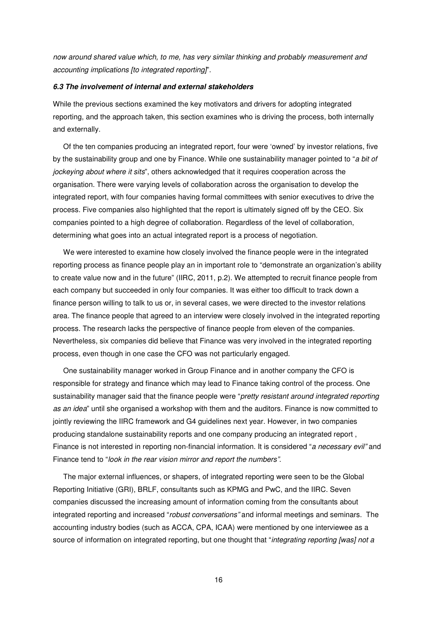now around shared value which, to me, has very similar thinking and probably measurement and accounting implications [to integrated reporting]".

#### **6.3 The involvement of internal and external stakeholders**

While the previous sections examined the key motivators and drivers for adopting integrated reporting, and the approach taken, this section examines who is driving the process, both internally and externally.

Of the ten companies producing an integrated report, four were 'owned' by investor relations, five by the sustainability group and one by Finance. While one sustainability manager pointed to "a bit of jockeying about where it sits", others acknowledged that it requires cooperation across the organisation. There were varying levels of collaboration across the organisation to develop the integrated report, with four companies having formal committees with senior executives to drive the process. Five companies also highlighted that the report is ultimately signed off by the CEO. Six companies pointed to a high degree of collaboration. Regardless of the level of collaboration, determining what goes into an actual integrated report is a process of negotiation.

We were interested to examine how closely involved the finance people were in the integrated reporting process as finance people play an in important role to "demonstrate an organization's ability to create value now and in the future" (IIRC, 2011, p.2). We attempted to recruit finance people from each company but succeeded in only four companies. It was either too difficult to track down a finance person willing to talk to us or, in several cases, we were directed to the investor relations area. The finance people that agreed to an interview were closely involved in the integrated reporting process. The research lacks the perspective of finance people from eleven of the companies. Nevertheless, six companies did believe that Finance was very involved in the integrated reporting process, even though in one case the CFO was not particularly engaged.

One sustainability manager worked in Group Finance and in another company the CFO is responsible for strategy and finance which may lead to Finance taking control of the process. One sustainability manager said that the finance people were "pretty resistant around integrated reporting as an idea" until she organised a workshop with them and the auditors. Finance is now committed to jointly reviewing the IIRC framework and G4 guidelines next year. However, in two companies producing standalone sustainability reports and one company producing an integrated report , Finance is not interested in reporting non-financial information. It is considered "a necessary evil" and Finance tend to "look in the rear vision mirror and report the numbers".

The major external influences, or shapers, of integrated reporting were seen to be the Global Reporting Initiative (GRI), BRLF, consultants such as KPMG and PwC, and the IIRC. Seven companies discussed the increasing amount of information coming from the consultants about integrated reporting and increased "robust conversations" and informal meetings and seminars. The accounting industry bodies (such as ACCA, CPA, ICAA) were mentioned by one interviewee as a source of information on integrated reporting, but one thought that "integrating reporting [was] not a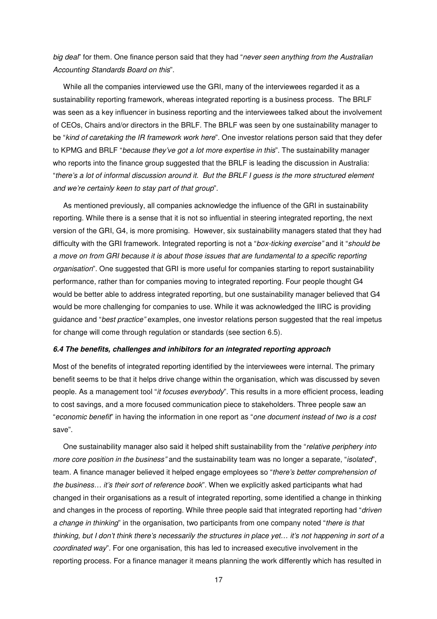big deal" for them. One finance person said that they had "never seen anything from the Australian Accounting Standards Board on this".

While all the companies interviewed use the GRI, many of the interviewees regarded it as a sustainability reporting framework, whereas integrated reporting is a business process. The BRLF was seen as a key influencer in business reporting and the interviewees talked about the involvement of CEOs, Chairs and/or directors in the BRLF. The BRLF was seen by one sustainability manager to be "kind of caretaking the IR framework work here". One investor relations person said that they defer to KPMG and BRLF "because they've got a lot more expertise in this". The sustainability manager who reports into the finance group suggested that the BRLF is leading the discussion in Australia: "there's a lot of informal discussion around it. But the BRLF I guess is the more structured element and we're certainly keen to stay part of that group".

As mentioned previously, all companies acknowledge the influence of the GRI in sustainability reporting. While there is a sense that it is not so influential in steering integrated reporting, the next version of the GRI, G4, is more promising. However, six sustainability managers stated that they had difficulty with the GRI framework. Integrated reporting is not a "box-ticking exercise" and it "should be a move on from GRI because it is about those issues that are fundamental to a specific reporting organisation". One suggested that GRI is more useful for companies starting to report sustainability performance, rather than for companies moving to integrated reporting. Four people thought G4 would be better able to address integrated reporting, but one sustainability manager believed that G4 would be more challenging for companies to use. While it was acknowledged the IIRC is providing quidance and "best practice" examples, one investor relations person suggested that the real impetus for change will come through regulation or standards (see section 6.5).

#### **6.4 The benefits, challenges and inhibitors for an integrated reporting approach**

Most of the benefits of integrated reporting identified by the interviewees were internal. The primary benefit seems to be that it helps drive change within the organisation, which was discussed by seven people. As a management tool "it focuses everybody". This results in a more efficient process, leading to cost savings, and a more focused communication piece to stakeholders. Three people saw an "economic benefit" in having the information in one report as "one document instead of two is a cost save".

One sustainability manager also said it helped shift sustainability from the "relative periphery into more core position in the business" and the sustainability team was no longer a separate, "isolated", team. A finance manager believed it helped engage employees so "there's better comprehension of the business... it's their sort of reference book". When we explicitly asked participants what had changed in their organisations as a result of integrated reporting, some identified a change in thinking and changes in the process of reporting. While three people said that integrated reporting had "driven a change in thinking" in the organisation, two participants from one company noted "there is that thinking, but I don't think there's necessarily the structures in place yet… it's not happening in sort of a coordinated way". For one organisation, this has led to increased executive involvement in the reporting process. For a finance manager it means planning the work differently which has resulted in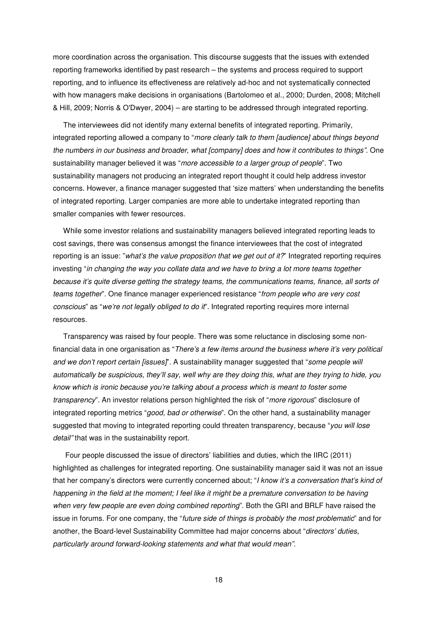more coordination across the organisation. This discourse suggests that the issues with extended reporting frameworks identified by past research – the systems and process required to support reporting, and to influence its effectiveness are relatively ad-hoc and not systematically connected with how managers make decisions in organisations (Bartolomeo et al., 2000; Durden, 2008; Mitchell & Hill, 2009; Norris & O'Dwyer, 2004) – are starting to be addressed through integrated reporting.

The interviewees did not identify many external benefits of integrated reporting. Primarily, integrated reporting allowed a company to "more clearly talk to them [audience] about things beyond the numbers in our business and broader, what [company] does and how it contributes to things". One sustainability manager believed it was "more accessible to a larger group of people". Two sustainability managers not producing an integrated report thought it could help address investor concerns. However, a finance manager suggested that 'size matters' when understanding the benefits of integrated reporting. Larger companies are more able to undertake integrated reporting than smaller companies with fewer resources.

While some investor relations and sustainability managers believed integrated reporting leads to cost savings, there was consensus amongst the finance interviewees that the cost of integrated reporting is an issue: "what's the value proposition that we get out of it?" Integrated reporting requires investing "in changing the way you collate data and we have to bring a lot more teams together because it's quite diverse getting the strategy teams, the communications teams, finance, all sorts of teams together". One finance manager experienced resistance "from people who are very cost conscious" as "we're not legally obliged to do it". Integrated reporting requires more internal resources.

Transparency was raised by four people. There was some reluctance in disclosing some nonfinancial data in one organisation as "There's a few items around the business where it's very political and we don't report certain [issues]'. A sustainability manager suggested that "some people will automatically be suspicious, they'll say, well why are they doing this, what are they trying to hide, you know which is ironic because you're talking about a process which is meant to foster some transparency". An investor relations person highlighted the risk of "more rigorous" disclosure of integrated reporting metrics "good, bad or otherwise". On the other hand, a sustainability manager suggested that moving to integrated reporting could threaten transparency, because "you will lose detail" that was in the sustainability report.

 Four people discussed the issue of directors' liabilities and duties, which the IIRC (2011) highlighted as challenges for integrated reporting. One sustainability manager said it was not an issue that her company's directors were currently concerned about: "I know it's a conversation that's kind of happening in the field at the moment; I feel like it might be a premature conversation to be having when very few people are even doing combined reporting". Both the GRI and BRLF have raised the issue in forums. For one company, the "future side of things is probably the most problematic" and for another, the Board-level Sustainability Committee had major concerns about "directors' duties, particularly around forward-looking statements and what that would mean".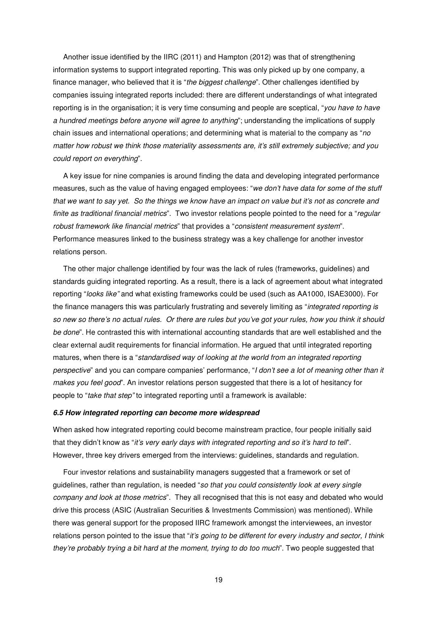Another issue identified by the IIRC (2011) and Hampton (2012) was that of strengthening information systems to support integrated reporting. This was only picked up by one company, a finance manager, who believed that it is "the biggest challenge". Other challenges identified by companies issuing integrated reports included: there are different understandings of what integrated reporting is in the organisation; it is very time consuming and people are sceptical, "you have to have a hundred meetings before anyone will agree to anything"; understanding the implications of supply chain issues and international operations; and determining what is material to the company as "no matter how robust we think those materiality assessments are, it's still extremely subjective; and you could report on everything".

A key issue for nine companies is around finding the data and developing integrated performance measures, such as the value of having engaged employees: "we don't have data for some of the stuff that we want to say yet. So the things we know have an impact on value but it's not as concrete and finite as traditional financial metrics". Two investor relations people pointed to the need for a "regular robust framework like financial metrics" that provides a "consistent measurement system". Performance measures linked to the business strategy was a key challenge for another investor relations person.

The other major challenge identified by four was the lack of rules (frameworks, guidelines) and standards guiding integrated reporting. As a result, there is a lack of agreement about what integrated reporting "looks like" and what existing frameworks could be used (such as AA1000, ISAE3000). For the finance managers this was particularly frustrating and severely limiting as "integrated reporting is so new so there's no actual rules. Or there are rules but you've got your rules, how you think it should be done". He contrasted this with international accounting standards that are well established and the clear external audit requirements for financial information. He argued that until integrated reporting matures, when there is a "standardised way of looking at the world from an integrated reporting perspective" and you can compare companies' performance, "I don't see a lot of meaning other than it makes you feel good". An investor relations person suggested that there is a lot of hesitancy for people to "take that step" to integrated reporting until a framework is available:

#### **6.5 How integrated reporting can become more widespread**

When asked how integrated reporting could become mainstream practice, four people initially said that they didn't know as "it's very early days with integrated reporting and so it's hard to tell". However, three key drivers emerged from the interviews: guidelines, standards and regulation.

Four investor relations and sustainability managers suggested that a framework or set of guidelines, rather than regulation, is needed "so that you could consistently look at every single company and look at those metrics". They all recognised that this is not easy and debated who would drive this process (ASIC (Australian Securities & Investments Commission) was mentioned). While there was general support for the proposed IIRC framework amongst the interviewees, an investor relations person pointed to the issue that "it's going to be different for every industry and sector, I think they're probably trying a bit hard at the moment, trying to do too much". Two people suggested that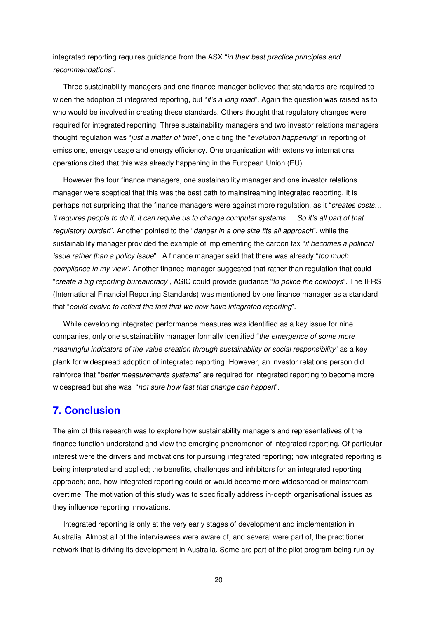integrated reporting requires guidance from the ASX "in their best practice principles and recommendations".

Three sustainability managers and one finance manager believed that standards are required to widen the adoption of integrated reporting, but "it's a long road". Again the question was raised as to who would be involved in creating these standards. Others thought that regulatory changes were required for integrated reporting. Three sustainability managers and two investor relations managers thought regulation was "just a matter of time", one citing the "evolution happening" in reporting of emissions, energy usage and energy efficiency. One organisation with extensive international operations cited that this was already happening in the European Union (EU).

However the four finance managers, one sustainability manager and one investor relations manager were sceptical that this was the best path to mainstreaming integrated reporting. It is perhaps not surprising that the finance managers were against more regulation, as it "creates costs... it requires people to do it, it can require us to change computer systems … So it's all part of that regulatory burden". Another pointed to the "danger in a one size fits all approach", while the sustainability manager provided the example of implementing the carbon tax "it becomes a political issue rather than a policy issue". A finance manager said that there was already "too much compliance in my view". Another finance manager suggested that rather than regulation that could "create a big reporting bureaucracy", ASIC could provide guidance "to police the cowboys". The IFRS (International Financial Reporting Standards) was mentioned by one finance manager as a standard that "could evolve to reflect the fact that we now have integrated reporting".

While developing integrated performance measures was identified as a key issue for nine companies, only one sustainability manager formally identified "the emergence of some more meaningful indicators of the value creation through sustainability or social responsibility" as a key plank for widespread adoption of integrated reporting. However, an investor relations person did reinforce that "better measurements systems" are required for integrated reporting to become more widespread but she was "not sure how fast that change can happen".

# **7. Conclusion**

The aim of this research was to explore how sustainability managers and representatives of the finance function understand and view the emerging phenomenon of integrated reporting. Of particular interest were the drivers and motivations for pursuing integrated reporting; how integrated reporting is being interpreted and applied; the benefits, challenges and inhibitors for an integrated reporting approach; and, how integrated reporting could or would become more widespread or mainstream overtime. The motivation of this study was to specifically address in-depth organisational issues as they influence reporting innovations.

Integrated reporting is only at the very early stages of development and implementation in Australia. Almost all of the interviewees were aware of, and several were part of, the practitioner network that is driving its development in Australia. Some are part of the pilot program being run by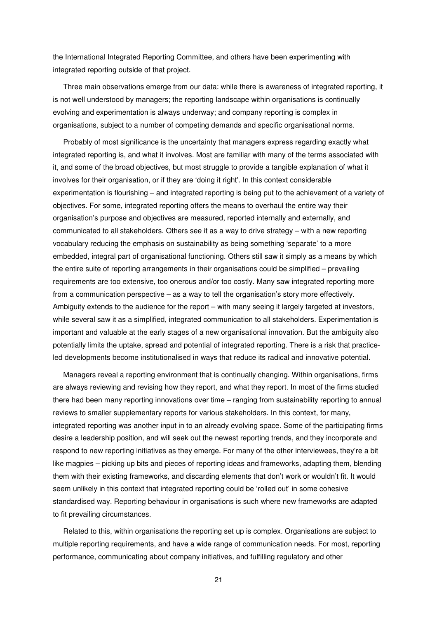the International Integrated Reporting Committee, and others have been experimenting with integrated reporting outside of that project.

Three main observations emerge from our data: while there is awareness of integrated reporting, it is not well understood by managers; the reporting landscape within organisations is continually evolving and experimentation is always underway; and company reporting is complex in organisations, subject to a number of competing demands and specific organisational norms.

Probably of most significance is the uncertainty that managers express regarding exactly what integrated reporting is, and what it involves. Most are familiar with many of the terms associated with it, and some of the broad objectives, but most struggle to provide a tangible explanation of what it involves for their organisation, or if they are 'doing it right'. In this context considerable experimentation is flourishing – and integrated reporting is being put to the achievement of a variety of objectives. For some, integrated reporting offers the means to overhaul the entire way their organisation's purpose and objectives are measured, reported internally and externally, and communicated to all stakeholders. Others see it as a way to drive strategy – with a new reporting vocabulary reducing the emphasis on sustainability as being something 'separate' to a more embedded, integral part of organisational functioning. Others still saw it simply as a means by which the entire suite of reporting arrangements in their organisations could be simplified – prevailing requirements are too extensive, too onerous and/or too costly. Many saw integrated reporting more from a communication perspective – as a way to tell the organisation's story more effectively. Ambiguity extends to the audience for the report – with many seeing it largely targeted at investors, while several saw it as a simplified, integrated communication to all stakeholders. Experimentation is important and valuable at the early stages of a new organisational innovation. But the ambiguity also potentially limits the uptake, spread and potential of integrated reporting. There is a risk that practiceled developments become institutionalised in ways that reduce its radical and innovative potential.

Managers reveal a reporting environment that is continually changing. Within organisations, firms are always reviewing and revising how they report, and what they report. In most of the firms studied there had been many reporting innovations over time – ranging from sustainability reporting to annual reviews to smaller supplementary reports for various stakeholders. In this context, for many, integrated reporting was another input in to an already evolving space. Some of the participating firms desire a leadership position, and will seek out the newest reporting trends, and they incorporate and respond to new reporting initiatives as they emerge. For many of the other interviewees, they're a bit like magpies – picking up bits and pieces of reporting ideas and frameworks, adapting them, blending them with their existing frameworks, and discarding elements that don't work or wouldn't fit. It would seem unlikely in this context that integrated reporting could be 'rolled out' in some cohesive standardised way. Reporting behaviour in organisations is such where new frameworks are adapted to fit prevailing circumstances.

Related to this, within organisations the reporting set up is complex. Organisations are subject to multiple reporting requirements, and have a wide range of communication needs. For most, reporting performance, communicating about company initiatives, and fulfilling regulatory and other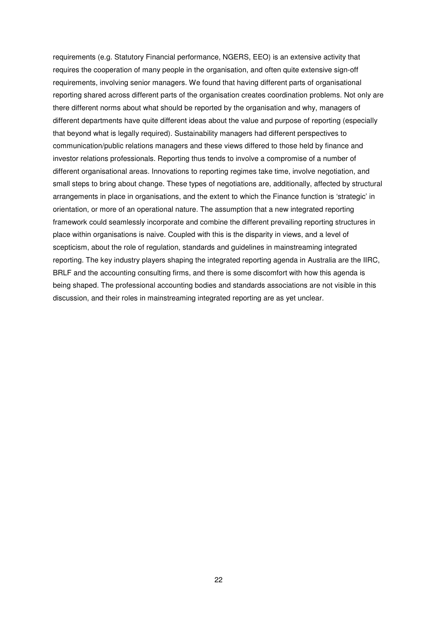requirements (e.g. Statutory Financial performance, NGERS, EEO) is an extensive activity that requires the cooperation of many people in the organisation, and often quite extensive sign-off requirements, involving senior managers. We found that having different parts of organisational reporting shared across different parts of the organisation creates coordination problems. Not only are there different norms about what should be reported by the organisation and why, managers of different departments have quite different ideas about the value and purpose of reporting (especially that beyond what is legally required). Sustainability managers had different perspectives to communication/public relations managers and these views differed to those held by finance and investor relations professionals. Reporting thus tends to involve a compromise of a number of different organisational areas. Innovations to reporting regimes take time, involve negotiation, and small steps to bring about change. These types of negotiations are, additionally, affected by structural arrangements in place in organisations, and the extent to which the Finance function is 'strategic' in orientation, or more of an operational nature. The assumption that a new integrated reporting framework could seamlessly incorporate and combine the different prevailing reporting structures in place within organisations is naive. Coupled with this is the disparity in views, and a level of scepticism, about the role of regulation, standards and guidelines in mainstreaming integrated reporting. The key industry players shaping the integrated reporting agenda in Australia are the IIRC, BRLF and the accounting consulting firms, and there is some discomfort with how this agenda is being shaped. The professional accounting bodies and standards associations are not visible in this discussion, and their roles in mainstreaming integrated reporting are as yet unclear.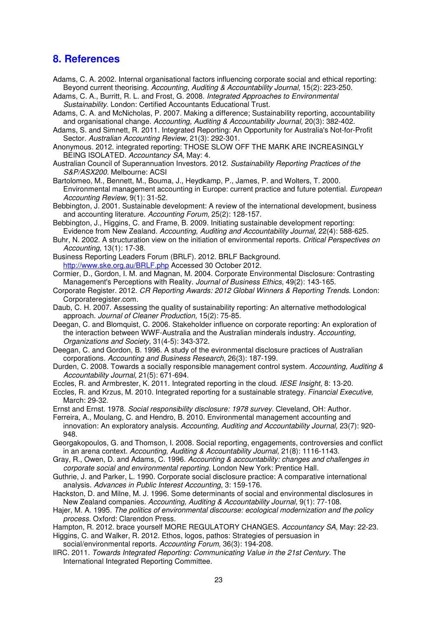# **8. References**

- Adams, C. A. 2002. Internal organisational factors influencing corporate social and ethical reporting: Beyond current theorising. Accounting, Auditing & Accountability Journal, 15(2): 223-250.
- Adams, C. A., Burritt, R. L. and Frost, G. 2008. Integrated Approaches to Environmental Sustainability. London: Certified Accountants Educational Trust.
- Adams, C. A. and McNicholas, P. 2007. Making a difference; Sustainability reporting, accountability and organisational change. Accounting, Auditing & Accountability Journal, 20(3): 382-402.
- Adams, S. and Simnett, R. 2011. Integrated Reporting: An Opportunity for Australia's Not-for-Profit Sector. Australian Accounting Review, 21(3): 292-301.
- Anonymous. 2012. integrated reporting: THOSE SLOW OFF THE MARK ARE INCREASINGLY BEING ISOLATED. Accountancy SA, May: 4.
- Australian Council of Superannuation Investors. 2012. Sustainability Reporting Practices of the S&P/ASX200. Melbourne: ACSI
- Bartolomeo, M., Bennett, M., Bouma, J., Heydkamp, P., James, P. and Wolters, T. 2000. Environmental management accounting in Europe: current practice and future potential. European Accounting Review, 9(1): 31-52.
- Bebbington, J. 2001. Sustainable development: A review of the international development, business and accounting literature. Accounting Forum, 25(2): 128-157.
- Bebbington, J., Higgins, C. and Frame, B. 2009. Initiating sustainable development reporting: Evidence from New Zealand. Accounting, Auditing and Accountability Journal, 22(4): 588-625.
- Buhr, N. 2002. A structuration view on the initiation of environmental reports. Critical Perspectives on Accounting, 13(1): 17-38.
- Business Reporting Leaders Forum (BRLF). 2012. BRLF Background. http://www.ske.org.au/BRLF.php Accessed 30 October 2012.
- Cormier, D., Gordon, I. M. and Magnan, M. 2004. Corporate Environmental Disclosure: Contrasting Management's Perceptions with Reality. Journal of Business Ethics, 49(2): 143-165.
- Corporate Register. 2012. CR Reporting Awards: 2012 Global Winners & Reporting Trends. London: Corporateregister.com.
- Daub, C. H. 2007. Assessing the quality of sustainability reporting: An alternative methodological approach. Journal of Cleaner Production, 15(2): 75-85.
- Deegan, C. and Blomquist, C. 2006. Stakeholder influence on corporate reporting: An exploration of the interaction between WWF-Australia and the Australian minderals industry. Accounting, Organizations and Society, 31(4-5): 343-372.
- Deegan, C. and Gordon, B. 1996. A study of the evironmental disclosure practices of Australian corporations. Accounting and Business Research, 26(3): 187-199.
- Durden, C. 2008. Towards a socially responsible management control system. Accounting, Auditing & Accountability Journal, 21(5): 671-694.
- Eccles, R. and Armbrester, K. 2011. Integrated reporting in the cloud. IESE Insight, 8: 13-20.
- Eccles, R. and Krzus, M. 2010. Integrated reporting for a sustainable strategy. Financial Executive, March: 29-32.
- Ernst and Ernst. 1978. Social responsibility disclosure: 1978 survey. Cleveland, OH: Author.
- Ferreira, A., Moulang, C. and Hendro, B. 2010. Environmental management accounting and innovation: An exploratory analysis. Accounting, Auditing and Accountability Journal, 23(7): 920- 948.
- Georgakopoulos, G. and Thomson, I. 2008. Social reporting, engagements, controversies and conflict in an arena context. Accounting, Auditing & Accountability Journal, 21(8): 1116-1143.
- Gray, R., Owen, D. and Adams, C. 1996. Accounting & accountability: changes and challenges in corporate social and environmental reporting. London New York: Prentice Hall.
- Guthrie, J. and Parker, L. 1990. Corporate social disclosure practice: A comparative international analysis. Advances in Public Interest Accounting, 3: 159-176.
- Hackston, D. and Milne, M. J. 1996. Some determinants of social and environmental disclosures in New Zealand companies. Accounting, Auditing & Accountability Journal, 9(1): 77-108.
- Hajer, M. A. 1995. The politics of environmental discourse: ecological modernization and the policy process. Oxford: Clarendon Press.
- Hampton, R. 2012. brace yourself MORE REGULATORY CHANGES. Accountancy SA, May: 22-23. Higgins, C. and Walker, R. 2012. Ethos, logos, pathos: Strategies of persuasion in
- social/environmental reports. Accounting Forum, 36(3): 194-208.
- IIRC. 2011. Towards Integrated Reporting: Communicating Value in the 21st Century. The International Integrated Reporting Committee.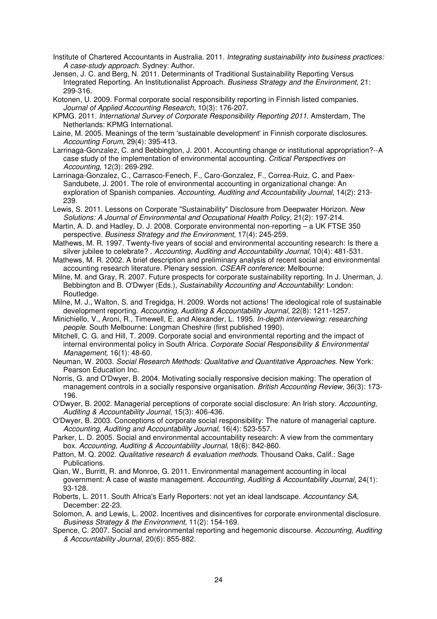- Institute of Chartered Accountants in Australia. 2011. Integrating sustainability into business practices: A case-study approach. Sydney: Author.
- Jensen, J. C. and Berg, N. 2011. Determinants of Traditional Sustainability Reporting Versus Integrated Reporting. An Institutionalist Approach. Business Strategy and the Environment, 21: 299-316.
- Kotonen, U. 2009. Formal corporate social responsibility reporting in Finnish listed companies. Journal of Applied Accounting Research, 10(3): 176-207.
- KPMG. 2011. International Survey of Corporate Responsibility Reporting 2011. Amsterdam, The Netherlands: KPMG International.
- Laine, M. 2005. Meanings of the term 'sustainable development' in Finnish corporate disclosures. Accounting Forum, 29(4): 395-413.
- Larrinaga-Gonzalez, C. and Bebbington, J. 2001. Accounting change or institutional appropriation?--A case study of the implementation of environmental accounting. Critical Perspectives on Accounting, 12(3): 269-292.
- Larrinaga-Gonzalez, C., Carrasco-Fenech, F., Caro-Gonzalez, F., Correa-Ruiz, C. and Paex-Sandubete, J. 2001. The role of environmental accounting in organizational change: An exploration of Spanish companies. Accounting, Auditing and Accountability Journal, 14(2): 213-239.
- Lewis, S. 2011. Lessons on Corporate "Sustainability" Disclosure from Deepwater Horizon. New Solutions: A Journal of Environmental and Occupational Health Policy, 21(2): 197-214.
- Martin, A. D. and Hadley, D. J. 2008. Corporate environmental non-reporting a UK FTSE 350 perspective. Business Strategy and the Environment, 17(4): 245-259.
- Mathews, M. R. 1997. Twenty-five years of social and environmental accounting research: Is there a silver jubilee to celebrate? . Accounting, Auditing and Accountability Journal, 10(4): 481-531.
- Mathews, M. R. 2002. A brief description and preliminary analysis of recent social and environmental accounting research literature. Plenary session. CSEAR conference: Melbourne:
- Milne, M. and Gray, R. 2007. Future prospects for corporate sustainability reporting. In J. Unerman, J. Bebbington and B. O'Dwyer (Eds.), Sustainability Accounting and Accountability: London: Routledge.
- Milne, M. J., Walton, S. and Tregidga, H. 2009. Words not actions! The ideological role of sustainable development reporting. Accounting, Auditing & Accountability Journal, 22(8): 1211-1257.
- Minichiello, V., Aroni, R., Timewell, E. and Alexander, L. 1995. In-depth interviewing: researching people. South Melbourne: Longman Cheshire (first published 1990).
- Mitchell, C. G. and Hill, T. 2009. Corporate social and environmental reporting and the impact of internal environmental policy in South Africa. Corporate Social Responsibility & Environmental Management, 16(1): 48-60.
- Neuman, W. 2003. Social Research Methods: Qualitative and Quantitative Approaches. New York: Pearson Education Inc.
- Norris, G. and O'Dwyer, B. 2004. Motivating socially responsive decision making: The operation of management controls in a socially responsive organisation. British Accounting Review, 36(3): 173- 196.
- O'Dwyer, B. 2002. Managerial perceptions of corporate social disclosure: An Irish story. Accounting, Auditing & Accountability Journal, 15(3): 406-436.
- O'Dwyer, B. 2003. Conceptions of corporate social responsibility: The nature of managerial capture. Accounting, Auditing and Accountability Journal, 16(4): 523-557.
- Parker, L. D. 2005. Social and environmental accountability research: A view from the commentary box. Accounting, Auditing & Accountability Journal, 18(6): 842-860.
- Patton, M. Q. 2002. Qualitative research & evaluation methods. Thousand Oaks, Calif.: Sage Publications.
- Qian, W., Burritt, R. and Monroe, G. 2011. Environmental management accounting in local government: A case of waste management. Accounting, Auditing & Accountability Journal, 24(1): 93-128.
- Roberts, L. 2011. South Africa's Early Reporters: not yet an ideal landscape. Accountancy SA, December: 22-23.
- Solomon, A. and Lewis, L. 2002. Incentives and disincentives for corporate environmental disclosure. Business Strategy & the Environment, 11(2): 154-169.
- Spence, C. 2007. Social and environmental reporting and hegemonic discourse. Accounting, Auditing & Accountability Journal, 20(6): 855-882.